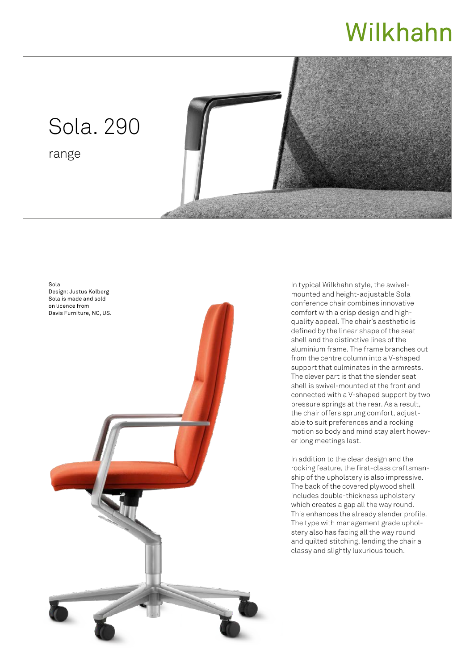## Wilkhahn

## Sola. 290

range

Sola Design: Justus Kolberg Sola is made and sold on licence from Davis Furniture, NC, US. In typical Wilkhahn style, the swivelmounted and height-adjustable Sola conference chair combines innovative comfort with a crisp design and highquality appeal. The chair's aesthetic is defined by the linear shape of the seat shell and the distinctive lines of the aluminium frame. The frame branches out from the centre column into a V-shaped support that culminates in the armrests. The clever part is that the slender seat shell is swivel-mounted at the front and connected with a V-shaped support by two pressure springs at the rear. As a result, the chair offers sprung comfort, adjustable to suit preferences and a rocking motion so body and mind stay alert however long meetings last.

In addition to the clear design and the rocking feature, the first-class craftsmanship of the upholstery is also impressive. The back of the covered plywood shell includes double-thickness upholstery which creates a gap all the way round. This enhances the already slender profile. The type with management grade upholstery also has facing all the way round and quilted stitching, lending the chair a classy and slightly luxurious touch.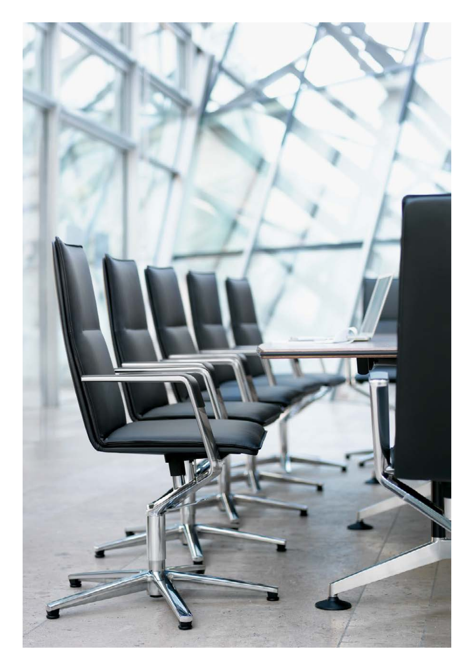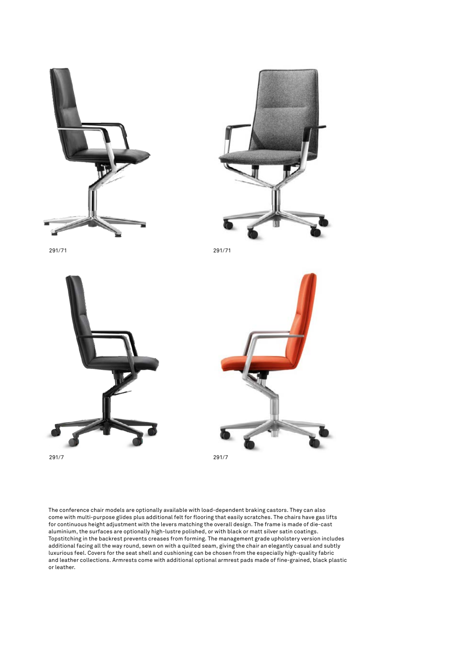



291/71

291/71



The conference chair models are optionally available with load-dependent braking castors. They can also come with multi-purpose glides plus additional felt for flooring that easily scratches. The chairs have gas lifts for continuous height adjustment with the levers matching the overall design. The frame is made of die-cast aluminium, the surfaces are optionally high-lustre polished, or with black or matt silver satin coatings. Topstitching in the backrest prevents creases from forming. The management grade upholstery version includes additional facing all the way round, sewn on with a quilted seam, giving the chair an elegantly casual and subtly luxurious feel. Covers for the seat shell and cushioning can be chosen from the especially high-quality fabric and leather collections. Armrests come with additional optional armrest pads made of fine-grained, black plastic or leather.